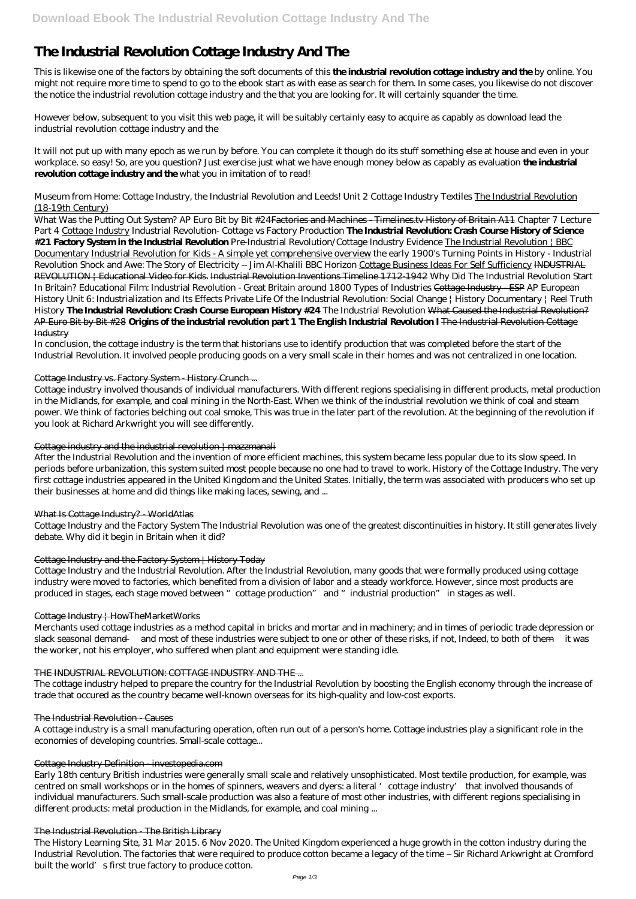# **The Industrial Revolution Cottage Industry And The**

This is likewise one of the factors by obtaining the soft documents of this **the industrial revolution cottage industry and the** by online. You might not require more time to spend to go to the ebook start as with ease as search for them. In some cases, you likewise do not discover the notice the industrial revolution cottage industry and the that you are looking for. It will certainly squander the time.

However below, subsequent to you visit this web page, it will be suitably certainly easy to acquire as capably as download lead the industrial revolution cottage industry and the

It will not put up with many epoch as we run by before. You can complete it though do its stuff something else at house and even in your workplace. so easy! So, are you question? Just exercise just what we have enough money below as capably as evaluation **the industrial revolution cottage industry and the** what you in imitation of to read!

## *Museum from Home: Cottage Industry, the Industrial Revolution and Leeds! Unit 2 Cottage Industry Textiles* The Industrial Revolution (18-19th Century)

What Was the Putting Out System? AP Euro Bit by Bit #24Factories and Machines - Timelines.tv History of Britain A11 *Chapter 7 Lecture Part 4* Cottage Industry *Industrial Revolution- Cottage vs Factory Production* **The Industrial Revolution: Crash Course History of Science #21 Factory System in the Industrial Revolution** Pre-Industrial Revolution/Cottage Industry Evidence The Industrial Revolution | BBC Documentary Industrial Revolution for Kids - A simple yet comprehensive overview *the early 1900's Turning Points in History - Industrial Revolution Shock and Awe: The Story of Electricity -- Jim Al-Khalili BBC Horizon* Cottage Business Ideas For Self Sufficiency INDUSTRIAL REVOLUTION | Educational Video for Kids. Industrial Revolution Inventions Timeline 1712-1942 *Why Did The Industrial Revolution Start In Britain? Educational Film: Industrial Revolution - Great Britain around 1800 Types of Industries* Cottage Industry - ESP *AP European History Unit 6: Industrialization and Its Effects Private Life Of the Industrial Revolution: Social Change | History Documentary | Reel Truth History* **The Industrial Revolution: Crash Course European History #24** *The Industrial Revolution* What Caused the Industrial Revolution? AP Euro Bit by Bit #28 **Origins of the industrial revolution part 1 The English Industrial Revolution I** The Industrial Revolution Cottage Industry

In conclusion, the cottage industry is the term that historians use to identify production that was completed before the start of the Industrial Revolution. It involved people producing goods on a very small scale in their homes and was not centralized in one location.

## Cottage Industry vs. Factory System - History Crunch ...

The History Learning Site, 31 Mar 2015. 6 Nov 2020. The United Kingdom experienced a huge growth in the cotton industry during the Industrial Revolution. The factories that were required to produce cotton became a legacy of the time – Sir Richard Arkwright at Cromford built the world's first true factory to produce cotton.

Cottage industry involved thousands of individual manufacturers. With different regions specialising in different products, metal production in the Midlands, for example, and coal mining in the North-East. When we think of the industrial revolution we think of coal and steam power. We think of factories belching out coal smoke, This was true in the later part of the revolution. At the beginning of the revolution if you look at Richard Arkwright you will see differently.

## Cottage industry and the industrial revolution  $\frac{1}{1}$  mazzmanali

After the Industrial Revolution and the invention of more efficient machines, this system became less popular due to its slow speed. In periods before urbanization, this system suited most people because no one had to travel to work. History of the Cottage Industry. The very first cottage industries appeared in the United Kingdom and the United States. Initially, the term was associated with producers who set up their businesses at home and did things like making laces, sewing, and ...

## What Is Cottage Industry? - WorldAtlas

Cottage Industry and the Factory System The Industrial Revolution was one of the greatest discontinuities in history. It still generates lively debate. Why did it begin in Britain when it did?

## Cottage Industry and the Factory System | History Today

Cottage Industry and the Industrial Revolution. After the Industrial Revolution, many goods that were formally produced using cottage industry were moved to factories, which benefited from a division of labor and a steady workforce. However, since most products are produced in stages, each stage moved between "cottage production" and "industrial production" in stages as well.

## Cottage Industry | HowTheMarketWorks

Merchants used cottage industries as a method capital in bricks and mortar and in machinery; and in times of periodic trade depression or slack seasonal demand — and most of these industries were subject to one or other of these risks, if not, Indeed, to both of them— it was the worker, not his employer, who suffered when plant and equipment were standing idle.

# THE INDUSTRIAL REVOLUTION: COTTAGE INDUSTRY AND THE ...

The cottage industry helped to prepare the country for the Industrial Revolution by boosting the English economy through the increase of trade that occured as the country became well-known overseas for its high-quality and low-cost exports.

#### The Industrial Revolution - Causes

A cottage industry is a small manufacturing operation, often run out of a person's home. Cottage industries play a significant role in the economies of developing countries. Small-scale cottage...

#### Cottage Industry Definition - investopedia.com

Early 18th century British industries were generally small scale and relatively unsophisticated. Most textile production, for example, was centred on small workshops or in the homes of spinners, weavers and dyers: a literal 'cottage industry' that involved thousands of individual manufacturers. Such small-scale production was also a feature of most other industries, with different regions specialising in different products: metal production in the Midlands, for example, and coal mining ...

### The Industrial Revolution - The British Library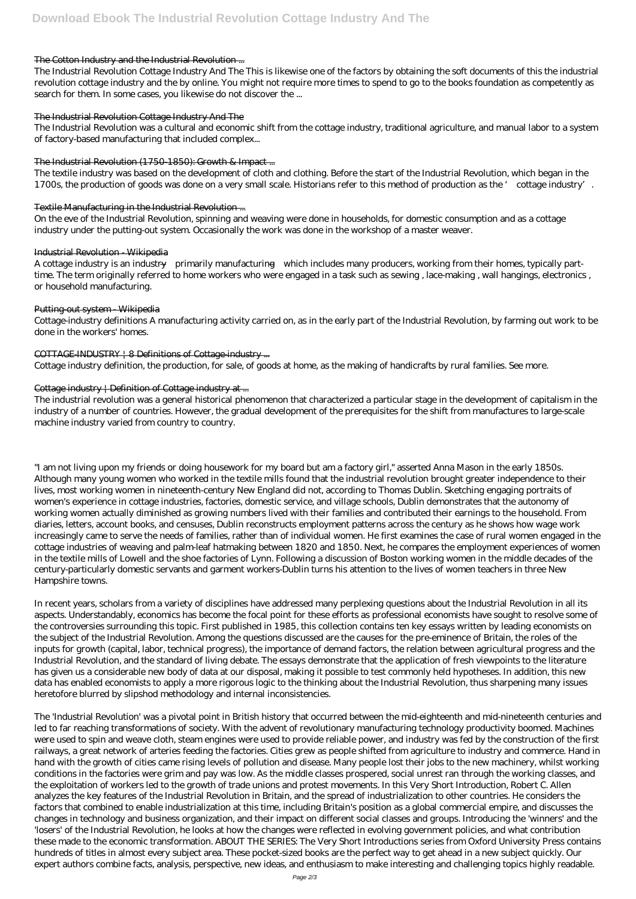## The Cotton Industry and the Industrial Revolution ...

The Industrial Revolution Cottage Industry And The This is likewise one of the factors by obtaining the soft documents of this the industrial revolution cottage industry and the by online. You might not require more times to spend to go to the books foundation as competently as search for them. In some cases, you likewise do not discover the ...

## The Industrial Revolution Cottage Industry And The

The Industrial Revolution was a cultural and economic shift from the cottage industry, traditional agriculture, and manual labor to a system of factory-based manufacturing that included complex...

## The Industrial Revolution (1750-1850): Growth & Impact...

The textile industry was based on the development of cloth and clothing. Before the start of the Industrial Revolution, which began in the 1700s, the production of goods was done on a very small scale. Historians refer to this method of production as the ' cottage industry'.

## Textile Manufacturing in the Industrial Revolution ...

On the eve of the Industrial Revolution, spinning and weaving were done in households, for domestic consumption and as a cottage industry under the putting-out system. Occasionally the work was done in the workshop of a master weaver.

## Industrial Revolution - Wikipedia

A cottage industry is an industry—primarily manufacturing—which includes many producers, working from their homes, typically parttime. The term originally referred to home workers who were engaged in a task such as sewing , lace-making , wall hangings, electronics , or household manufacturing.

## Putting out system Wikipedia

Cottage-industry definitions A manufacturing activity carried on, as in the early part of the Industrial Revolution, by farming out work to be done in the workers' homes.

## COTTAGE-INDUSTRY | 8 Definitions of Cottage-industry ...

Cottage industry definition, the production, for sale, of goods at home, as the making of handicrafts by rural families. See more.

## Cottage industry  $\frac{1}{1}$  Definition of Cottage industry at ...

The industrial revolution was a general historical phenomenon that characterized a particular stage in the development of capitalism in the industry of a number of countries. However, the gradual development of the prerequisites for the shift from manufactures to large-scale machine industry varied from country to country.

"I am not living upon my friends or doing housework for my board but am a factory girl," asserted Anna Mason in the early 1850s. Although many young women who worked in the textile mills found that the industrial revolution brought greater independence to their lives, most working women in nineteenth-century New England did not, according to Thomas Dublin. Sketching engaging portraits of women's experience in cottage industries, factories, domestic service, and village schools, Dublin demonstrates that the autonomy of working women actually diminished as growing numbers lived with their families and contributed their earnings to the household. From diaries, letters, account books, and censuses, Dublin reconstructs employment patterns across the century as he shows how wage work increasingly came to serve the needs of families, rather than of individual women. He first examines the case of rural women engaged in the cottage industries of weaving and palm-leaf hatmaking between 1820 and 1850. Next, he compares the employment experiences of women in the textile mills of Lowell and the shoe factories of Lynn. Following a discussion of Boston working women in the middle decades of the century-particularly domestic servants and garment workers-Dublin turns his attention to the lives of women teachers in three New Hampshire towns.

In recent years, scholars from a variety of disciplines have addressed many perplexing questions about the Industrial Revolution in all its aspects. Understandably, economics has become the focal point for these efforts as professional economists have sought to resolve some of the controversies surrounding this topic. First published in 1985, this collection contains ten key essays written by leading economists on the subject of the Industrial Revolution. Among the questions discussed are the causes for the pre-eminence of Britain, the roles of the inputs for growth (capital, labor, technical progress), the importance of demand factors, the relation between agricultural progress and the Industrial Revolution, and the standard of living debate. The essays demonstrate that the application of fresh viewpoints to the literature has given us a considerable new body of data at our disposal, making it possible to test commonly held hypotheses. In addition, this new

data has enabled economists to apply a more rigorous logic to the thinking about the Industrial Revolution, thus sharpening many issues heretofore blurred by slipshod methodology and internal inconsistencies.

The 'Industrial Revolution' was a pivotal point in British history that occurred between the mid-eighteenth and mid-nineteenth centuries and led to far reaching transformations of society. With the advent of revolutionary manufacturing technology productivity boomed. Machines were used to spin and weave cloth, steam engines were used to provide reliable power, and industry was fed by the construction of the first railways, a great network of arteries feeding the factories. Cities grew as people shifted from agriculture to industry and commerce. Hand in hand with the growth of cities came rising levels of pollution and disease. Many people lost their jobs to the new machinery, whilst working conditions in the factories were grim and pay was low. As the middle classes prospered, social unrest ran through the working classes, and the exploitation of workers led to the growth of trade unions and protest movements. In this Very Short Introduction, Robert C. Allen analyzes the key features of the Industrial Revolution in Britain, and the spread of industrialization to other countries. He considers the factors that combined to enable industrialization at this time, including Britain's position as a global commercial empire, and discusses the changes in technology and business organization, and their impact on different social classes and groups. Introducing the 'winners' and the 'losers' of the Industrial Revolution, he looks at how the changes were reflected in evolving government policies, and what contribution these made to the economic transformation. ABOUT THE SERIES: The Very Short Introductions series from Oxford University Press contains hundreds of titles in almost every subject area. These pocket-sized books are the perfect way to get ahead in a new subject quickly. Our expert authors combine facts, analysis, perspective, new ideas, and enthusiasm to make interesting and challenging topics highly readable.